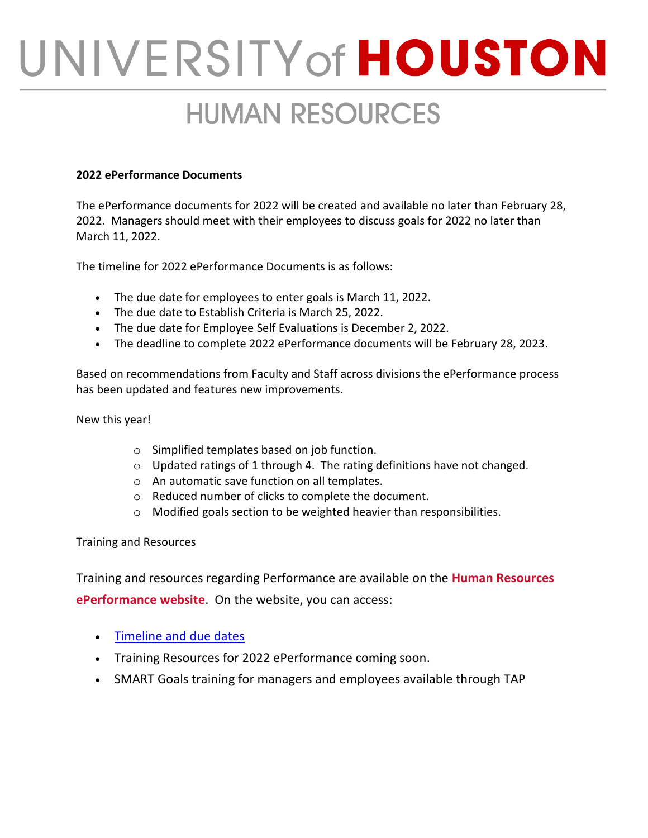## UNIVERSITY of HOUSTON

## **HUMAN RESOURCES**

## **2022 ePerformance Documents**

The ePerformance documents for 2022 will be created and available no later than February 28, 2022. Managers should meet with their employees to discuss goals for 2022 no later than March 11, 2022.

The timeline for 2022 ePerformance Documents is as follows:

- The due date for employees to enter goals is March 11, 2022.
- The due date to Establish Criteria is March 25, 2022.
- The due date for Employee Self Evaluations is December 2, 2022.
- The deadline to complete 2022 ePerformance documents will be February 28, 2023.

Based on recommendations from Faculty and Staff across divisions the ePerformance process has been updated and features new improvements.

New this year!

- o Simplified templates based on job function.
- $\circ$  Updated ratings of 1 through 4. The rating definitions have not changed.
- o An automatic save function on all templates.
- o Reduced number of clicks to complete the document.
- o Modified goals section to be weighted heavier than responsibilities.

Training and Resources

Training and resources regarding Performance are available on the **[Human Resources](https://cloudapps.uh.edu/sendit/l/R04oI2FWZafGqUfYe5RBUQ/mfVguDz1vo3J2F3vOdtRyg/7ho8uXvNrauLCTPuoaQ1cg)  [ePerformance website](https://cloudapps.uh.edu/sendit/l/R04oI2FWZafGqUfYe5RBUQ/mfVguDz1vo3J2F3vOdtRyg/7ho8uXvNrauLCTPuoaQ1cg)**. On the website, you can access:

- [Timeline and](https://cloudapps.uh.edu/sendit/l/R04oI2FWZafGqUfYe5RBUQ/rzUb763uSlQq892f3zjkGyv8ww/7ho8uXvNrauLCTPuoaQ1cg) due dates
- Training Resources for 2022 ePerformance coming soon.
- SMART Goals training for managers and employees available through TAP